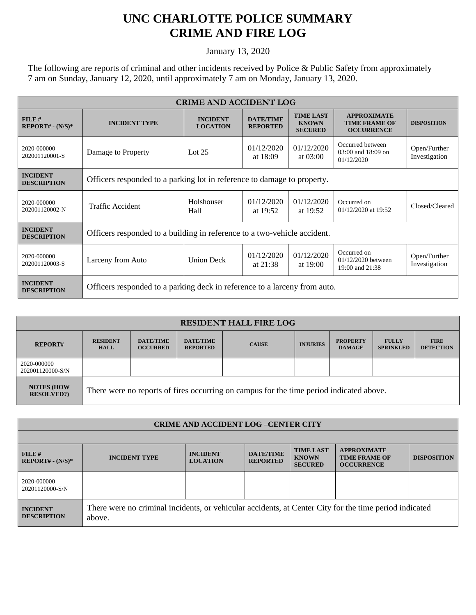## **UNC CHARLOTTE POLICE SUMMARY CRIME AND FIRE LOG**

January 13, 2020

The following are reports of criminal and other incidents received by Police & Public Safety from approximately 7 am on Sunday, January 12, 2020, until approximately 7 am on Monday, January 13, 2020.

| <b>CRIME AND ACCIDENT LOG</b>         |                                                                           |                                    |                                     |                                                    |                                                                 |                               |  |
|---------------------------------------|---------------------------------------------------------------------------|------------------------------------|-------------------------------------|----------------------------------------------------|-----------------------------------------------------------------|-------------------------------|--|
| FILE#<br>$REPORT# - (N/S)*$           | <b>INCIDENT TYPE</b>                                                      | <b>INCIDENT</b><br><b>LOCATION</b> | <b>DATE/TIME</b><br><b>REPORTED</b> | <b>TIME LAST</b><br><b>KNOWN</b><br><b>SECURED</b> | <b>APPROXIMATE</b><br><b>TIME FRAME OF</b><br><b>OCCURRENCE</b> | <b>DISPOSITION</b>            |  |
| 2020-000000<br>202001120001-S         | Damage to Property                                                        | Lot $25$                           | 01/12/2020<br>at 18:09              | 01/12/2020<br>at $03:00$                           | Occurred between<br>$03:00$ and $18:09$ on<br>01/12/2020        | Open/Further<br>Investigation |  |
| <b>INCIDENT</b><br><b>DESCRIPTION</b> | Officers responded to a parking lot in reference to damage to property.   |                                    |                                     |                                                    |                                                                 |                               |  |
| 2020-000000<br>202001120002-N         | Traffic Accident                                                          | Holshouser<br>Hall                 | 01/12/2020<br>at $19:52$            | 01/12/2020<br>at 19:52                             | Occurred on<br>01/12/2020 at 19:52                              | Closed/Cleared                |  |
| <b>INCIDENT</b><br><b>DESCRIPTION</b> | Officers responded to a building in reference to a two-vehicle accident.  |                                    |                                     |                                                    |                                                                 |                               |  |
| 2020-000000<br>202001120003-S         | Larceny from Auto                                                         | <b>Union Deck</b>                  | 01/12/2020<br>at $21:38$            | 01/12/2020<br>at 19:00                             | Occurred on<br>01/12/2020 between<br>19:00 and 21:38            | Open/Further<br>Investigation |  |
| <b>INCIDENT</b><br><b>DESCRIPTION</b> | Officers responded to a parking deck in reference to a larceny from auto. |                                    |                                     |                                                    |                                                                 |                               |  |

| <b>RESIDENT HALL FIRE LOG</b>           |                                                                                         |                                     |                                     |              |                 |                                  |                                  |                                 |
|-----------------------------------------|-----------------------------------------------------------------------------------------|-------------------------------------|-------------------------------------|--------------|-----------------|----------------------------------|----------------------------------|---------------------------------|
| <b>REPORT#</b>                          | <b>RESIDENT</b><br><b>HALL</b>                                                          | <b>DATE/TIME</b><br><b>OCCURRED</b> | <b>DATE/TIME</b><br><b>REPORTED</b> | <b>CAUSE</b> | <b>INJURIES</b> | <b>PROPERTY</b><br><b>DAMAGE</b> | <b>FULLY</b><br><b>SPRINKLED</b> | <b>FIRE</b><br><b>DETECTION</b> |
| 2020-000000<br>202001120000-S/N         |                                                                                         |                                     |                                     |              |                 |                                  |                                  |                                 |
| <b>NOTES (HOW)</b><br><b>RESOLVED?)</b> | There were no reports of fires occurring on campus for the time period indicated above. |                                     |                                     |              |                 |                                  |                                  |                                 |

| <b>CRIME AND ACCIDENT LOG-CENTER CITY</b> |                                                                                                                  |                                    |                                     |                                                    |                                                                 |                    |
|-------------------------------------------|------------------------------------------------------------------------------------------------------------------|------------------------------------|-------------------------------------|----------------------------------------------------|-----------------------------------------------------------------|--------------------|
|                                           |                                                                                                                  |                                    |                                     |                                                    |                                                                 |                    |
| FILE#<br>$REPORT# - (N/S)*$               | <b>INCIDENT TYPE</b>                                                                                             | <b>INCIDENT</b><br><b>LOCATION</b> | <b>DATE/TIME</b><br><b>REPORTED</b> | <b>TIME LAST</b><br><b>KNOWN</b><br><b>SECURED</b> | <b>APPROXIMATE</b><br><b>TIME FRAME OF</b><br><b>OCCURRENCE</b> | <b>DISPOSITION</b> |
| 2020-000000<br>20201120000-S/N            |                                                                                                                  |                                    |                                     |                                                    |                                                                 |                    |
| <b>INCIDENT</b><br><b>DESCRIPTION</b>     | There were no criminal incidents, or vehicular accidents, at Center City for the time period indicated<br>above. |                                    |                                     |                                                    |                                                                 |                    |